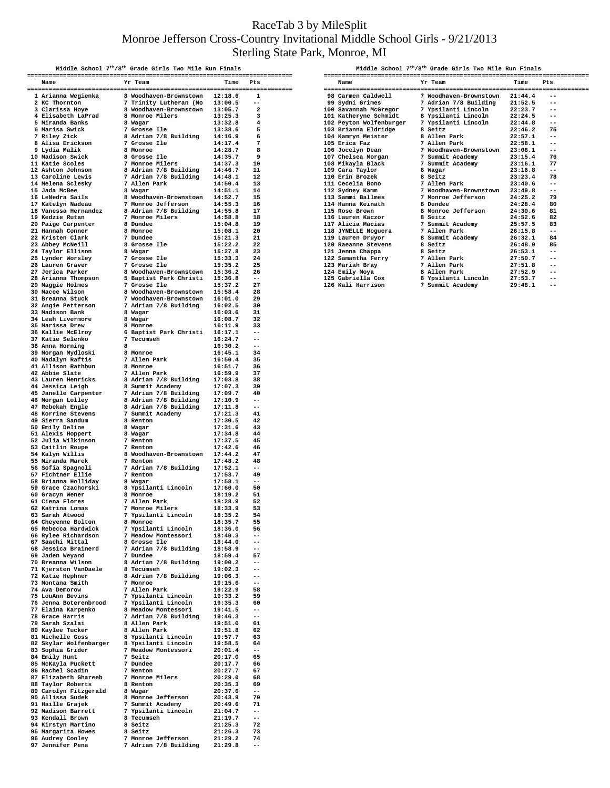## RaceTab 3 by MileSplit Monroe Jefferson Cross-Country Invitational Middle School Girls - 9/21/2013 Sterling State Park, Monroe, MI

|                                                                                                                                                                                                                                                                                                                                                                                                                                                                                                                                                                                                                                                                       | Middle School 7 <sup>th</sup> /8 <sup>th</sup> Grade Girls Two Mile Run Finals |                    |                                  |
|-----------------------------------------------------------------------------------------------------------------------------------------------------------------------------------------------------------------------------------------------------------------------------------------------------------------------------------------------------------------------------------------------------------------------------------------------------------------------------------------------------------------------------------------------------------------------------------------------------------------------------------------------------------------------|--------------------------------------------------------------------------------|--------------------|----------------------------------|
| Name heart of the contract of the contract of the contract of the contract of the contract of the contract of the contract of the contract of the contract of the contract of the contract of the contract of the contract of<br>$\begin{tabular}{cccccccc} \textbf{5} & \textbf{5} & \textbf{6} & \textbf{7} & \textbf{8} \\ \textbf{1} & \textbf{1} & \textbf{1} & \textbf{1} & \textbf{1} & \textbf{1} & \textbf{1} & \textbf{1} & \textbf{1} & \textbf{1} & \textbf{1} & \textbf{1} & \textbf{1} & \textbf{1} & \textbf{1} & \textbf{1} & \textbf{1} & \textbf{1} & \textbf{1} & \textbf{1} & \textbf{1} & \textbf{1} & \textbf{1} & \textbf{1} & \textbf{1} & \$ |                                                                                |                    |                                  |
|                                                                                                                                                                                                                                                                                                                                                                                                                                                                                                                                                                                                                                                                       |                                                                                |                    |                                  |
|                                                                                                                                                                                                                                                                                                                                                                                                                                                                                                                                                                                                                                                                       |                                                                                |                    |                                  |
|                                                                                                                                                                                                                                                                                                                                                                                                                                                                                                                                                                                                                                                                       |                                                                                |                    |                                  |
|                                                                                                                                                                                                                                                                                                                                                                                                                                                                                                                                                                                                                                                                       |                                                                                |                    |                                  |
|                                                                                                                                                                                                                                                                                                                                                                                                                                                                                                                                                                                                                                                                       |                                                                                |                    |                                  |
|                                                                                                                                                                                                                                                                                                                                                                                                                                                                                                                                                                                                                                                                       |                                                                                |                    |                                  |
|                                                                                                                                                                                                                                                                                                                                                                                                                                                                                                                                                                                                                                                                       |                                                                                |                    |                                  |
|                                                                                                                                                                                                                                                                                                                                                                                                                                                                                                                                                                                                                                                                       |                                                                                |                    |                                  |
|                                                                                                                                                                                                                                                                                                                                                                                                                                                                                                                                                                                                                                                                       |                                                                                |                    |                                  |
|                                                                                                                                                                                                                                                                                                                                                                                                                                                                                                                                                                                                                                                                       |                                                                                |                    |                                  |
|                                                                                                                                                                                                                                                                                                                                                                                                                                                                                                                                                                                                                                                                       |                                                                                |                    |                                  |
|                                                                                                                                                                                                                                                                                                                                                                                                                                                                                                                                                                                                                                                                       |                                                                                |                    |                                  |
|                                                                                                                                                                                                                                                                                                                                                                                                                                                                                                                                                                                                                                                                       |                                                                                |                    |                                  |
|                                                                                                                                                                                                                                                                                                                                                                                                                                                                                                                                                                                                                                                                       |                                                                                |                    |                                  |
|                                                                                                                                                                                                                                                                                                                                                                                                                                                                                                                                                                                                                                                                       |                                                                                |                    |                                  |
|                                                                                                                                                                                                                                                                                                                                                                                                                                                                                                                                                                                                                                                                       |                                                                                |                    |                                  |
|                                                                                                                                                                                                                                                                                                                                                                                                                                                                                                                                                                                                                                                                       |                                                                                |                    |                                  |
|                                                                                                                                                                                                                                                                                                                                                                                                                                                                                                                                                                                                                                                                       |                                                                                |                    |                                  |
|                                                                                                                                                                                                                                                                                                                                                                                                                                                                                                                                                                                                                                                                       |                                                                                |                    |                                  |
|                                                                                                                                                                                                                                                                                                                                                                                                                                                                                                                                                                                                                                                                       |                                                                                |                    |                                  |
|                                                                                                                                                                                                                                                                                                                                                                                                                                                                                                                                                                                                                                                                       |                                                                                |                    |                                  |
|                                                                                                                                                                                                                                                                                                                                                                                                                                                                                                                                                                                                                                                                       |                                                                                |                    |                                  |
|                                                                                                                                                                                                                                                                                                                                                                                                                                                                                                                                                                                                                                                                       |                                                                                |                    |                                  |
|                                                                                                                                                                                                                                                                                                                                                                                                                                                                                                                                                                                                                                                                       |                                                                                |                    |                                  |
|                                                                                                                                                                                                                                                                                                                                                                                                                                                                                                                                                                                                                                                                       |                                                                                |                    |                                  |
|                                                                                                                                                                                                                                                                                                                                                                                                                                                                                                                                                                                                                                                                       |                                                                                |                    |                                  |
|                                                                                                                                                                                                                                                                                                                                                                                                                                                                                                                                                                                                                                                                       |                                                                                |                    |                                  |
|                                                                                                                                                                                                                                                                                                                                                                                                                                                                                                                                                                                                                                                                       |                                                                                |                    |                                  |
|                                                                                                                                                                                                                                                                                                                                                                                                                                                                                                                                                                                                                                                                       |                                                                                |                    |                                  |
|                                                                                                                                                                                                                                                                                                                                                                                                                                                                                                                                                                                                                                                                       |                                                                                |                    |                                  |
|                                                                                                                                                                                                                                                                                                                                                                                                                                                                                                                                                                                                                                                                       |                                                                                |                    |                                  |
|                                                                                                                                                                                                                                                                                                                                                                                                                                                                                                                                                                                                                                                                       |                                                                                |                    |                                  |
|                                                                                                                                                                                                                                                                                                                                                                                                                                                                                                                                                                                                                                                                       |                                                                                |                    |                                  |
|                                                                                                                                                                                                                                                                                                                                                                                                                                                                                                                                                                                                                                                                       |                                                                                |                    |                                  |
|                                                                                                                                                                                                                                                                                                                                                                                                                                                                                                                                                                                                                                                                       |                                                                                |                    |                                  |
|                                                                                                                                                                                                                                                                                                                                                                                                                                                                                                                                                                                                                                                                       |                                                                                |                    |                                  |
|                                                                                                                                                                                                                                                                                                                                                                                                                                                                                                                                                                                                                                                                       |                                                                                |                    |                                  |
|                                                                                                                                                                                                                                                                                                                                                                                                                                                                                                                                                                                                                                                                       |                                                                                |                    |                                  |
|                                                                                                                                                                                                                                                                                                                                                                                                                                                                                                                                                                                                                                                                       |                                                                                |                    |                                  |
|                                                                                                                                                                                                                                                                                                                                                                                                                                                                                                                                                                                                                                                                       |                                                                                |                    |                                  |
|                                                                                                                                                                                                                                                                                                                                                                                                                                                                                                                                                                                                                                                                       |                                                                                |                    |                                  |
|                                                                                                                                                                                                                                                                                                                                                                                                                                                                                                                                                                                                                                                                       |                                                                                |                    |                                  |
|                                                                                                                                                                                                                                                                                                                                                                                                                                                                                                                                                                                                                                                                       |                                                                                |                    |                                  |
|                                                                                                                                                                                                                                                                                                                                                                                                                                                                                                                                                                                                                                                                       |                                                                                |                    | 44                               |
| 49 Sierra Sandum 8 Renton 17:30.5<br>51 Alexis Hoppert 8 Wagar 17:31.6<br>51 Alexis Hoppert 8 Wagar 17:31.8<br>52 Julia Wilkinson 7 Renton 17:37.5<br>53 Caitlin Roupe 7 Renton 17:42.6<br>54 Kalyn Willis 8 Woodhaven-Brownstown 17:44                                                                                                                                                                                                                                                                                                                                                                                                                               |                                                                                |                    | - 45                             |
|                                                                                                                                                                                                                                                                                                                                                                                                                                                                                                                                                                                                                                                                       |                                                                                |                    | - 46<br>- 47                     |
|                                                                                                                                                                                                                                                                                                                                                                                                                                                                                                                                                                                                                                                                       |                                                                                | 17:48.2            | - 48                             |
|                                                                                                                                                                                                                                                                                                                                                                                                                                                                                                                                                                                                                                                                       |                                                                                |                    | $\overline{a}$                   |
|                                                                                                                                                                                                                                                                                                                                                                                                                                                                                                                                                                                                                                                                       |                                                                                |                    | 49                               |
|                                                                                                                                                                                                                                                                                                                                                                                                                                                                                                                                                                                                                                                                       |                                                                                |                    | $- -$                            |
|                                                                                                                                                                                                                                                                                                                                                                                                                                                                                                                                                                                                                                                                       |                                                                                |                    | 50<br>51                         |
|                                                                                                                                                                                                                                                                                                                                                                                                                                                                                                                                                                                                                                                                       |                                                                                |                    | - 52                             |
|                                                                                                                                                                                                                                                                                                                                                                                                                                                                                                                                                                                                                                                                       |                                                                                |                    | 53                               |
| 63 Sarah Atwood                                                                                                                                                                                                                                                                                                                                                                                                                                                                                                                                                                                                                                                       | 7 Ypsilanti Lincoln                                                            | 18:35.2            | 54                               |
| 64 Cheyenne Bolton                                                                                                                                                                                                                                                                                                                                                                                                                                                                                                                                                                                                                                                    | 8 Monroe                                                                       | 18:35.7            | 55                               |
|                                                                                                                                                                                                                                                                                                                                                                                                                                                                                                                                                                                                                                                                       |                                                                                | 18:36.0            | 56<br>$-$                        |
| 64 Cheyenne Bolton<br>65 Rebecca Hardwick 7 Ypsilanti Lincoln<br>66 Rylee Richardson 7 Meadow Montessori<br>67 Saachi Mittal 8 Grosse Ile<br>68 Jessica Brainerd 7 Adrian 7/8 Building<br>69 Jaden Weyand 7 Dundee                                                                                                                                                                                                                                                                                                                                                                                                                                                    |                                                                                | 18:40.3<br>18:44.0 | --                               |
|                                                                                                                                                                                                                                                                                                                                                                                                                                                                                                                                                                                                                                                                       |                                                                                | 18:58.9            | $-$                              |
|                                                                                                                                                                                                                                                                                                                                                                                                                                                                                                                                                                                                                                                                       |                                                                                | 18:59.4            | 57                               |
| 70 Breanna Wilson 8 Adrian 7/8 Building 19:00.2<br>71 Kjersten VanDaele 8 Tecumseh 19:02.3                                                                                                                                                                                                                                                                                                                                                                                                                                                                                                                                                                            |                                                                                |                    | $-$                              |
| 72 Katie Hephner                                                                                                                                                                                                                                                                                                                                                                                                                                                                                                                                                                                                                                                      | 8 Adrian 7/8 Building                                                          | 19:06.3            | --<br>$\overline{\phantom{m}}$ . |
| 73 Montana Smith                                                                                                                                                                                                                                                                                                                                                                                                                                                                                                                                                                                                                                                      | 7 Monroe                                                                       | 19:15.6            | $\overline{\phantom{m}}$ .       |
| 74 Ava Demorow                                                                                                                                                                                                                                                                                                                                                                                                                                                                                                                                                                                                                                                        | 7 Allen Park                                                                   | 19:22.9            | 58                               |
| 75 LouAnn Bevins                                                                                                                                                                                                                                                                                                                                                                                                                                                                                                                                                                                                                                                      | 7 Ypsilanti Lincoln                                                            | 19:33.2            | 59                               |
| 76 Jenna Boterenbrood 7 Ypsilanti Lincoln<br>77 Elaina Karpenko 8 Meadow Montessori                                                                                                                                                                                                                                                                                                                                                                                                                                                                                                                                                                                   |                                                                                | 19:35.3            | 60                               |
| 78 Grace Harris                                                                                                                                                                                                                                                                                                                                                                                                                                                                                                                                                                                                                                                       | 7 Adrian 7/8 Building 19:46.3                                                  | 19:41.5            | $-$<br>$-$                       |
| 79 Sarah Szalai                                                                                                                                                                                                                                                                                                                                                                                                                                                                                                                                                                                                                                                       | 8 Allen Park                                                                   | 19:51.0            | 61                               |
| 80 Kaylee Tucker                                                                                                                                                                                                                                                                                                                                                                                                                                                                                                                                                                                                                                                      | 8 Allen Park                                                                   | 19:51.8            | 62                               |
|                                                                                                                                                                                                                                                                                                                                                                                                                                                                                                                                                                                                                                                                       |                                                                                | 19:57.7            | 63                               |
| % 81 Michelle Goss 8 Ypsilanti Lincoln<br>% 82 Skylar Wolfenbarger 8 Ypsilanti Lincoln<br>% 83 Sophia Grider 7 Meadow Montessori                                                                                                                                                                                                                                                                                                                                                                                                                                                                                                                                      |                                                                                | 19:58.5            | 64                               |
|                                                                                                                                                                                                                                                                                                                                                                                                                                                                                                                                                                                                                                                                       |                                                                                | 20:01.4            | $- -$                            |
| 84 Emily Hunt<br>84 Emiliz<br>85 McKayla Puckett                                                                                                                                                                                                                                                                                                                                                                                                                                                                                                                                                                                                                      | 7 Seitz<br>7 Dundee                                                            | 20:17.0<br>20:17.7 | 65<br>66                         |
| 86 Rachel Scadin                                                                                                                                                                                                                                                                                                                                                                                                                                                                                                                                                                                                                                                      | 7 Renton                                                                       | 20:27.7            | 67                               |
| 87 Elizabeth Ghareeb                                                                                                                                                                                                                                                                                                                                                                                                                                                                                                                                                                                                                                                  | 7 Monroe Milers                                                                | 20:29.0            | 68                               |
| 88 Taylor Roberts                                                                                                                                                                                                                                                                                                                                                                                                                                                                                                                                                                                                                                                     | 8 Renton                                                                       | 20:35.3            | 69                               |
| 89 Carolyn Fitzgerald                                                                                                                                                                                                                                                                                                                                                                                                                                                                                                                                                                                                                                                 | 8 Wagar<br>8 Monroe Jefferson                                                  | 20:37.6            | $-$                              |
| 90 Allissa Sudek<br>91 Haille Grajek                                                                                                                                                                                                                                                                                                                                                                                                                                                                                                                                                                                                                                  |                                                                                | 20:43.9<br>20:49.6 | 70<br>71                         |
| 92 Madison Barrett                                                                                                                                                                                                                                                                                                                                                                                                                                                                                                                                                                                                                                                    | 7 Summit Academy<br>7 Ypsilanti Lincoln<br>2 -                                 | 21:04.7            | $- -$                            |
| 93 Kendall Brown                                                                                                                                                                                                                                                                                                                                                                                                                                                                                                                                                                                                                                                      | 8 Tecumseh                                                                     | 21:19.7            | $-$                              |
| 94 Kirstyn Martino                                                                                                                                                                                                                                                                                                                                                                                                                                                                                                                                                                                                                                                    | 8 Seitz                                                                        | 21:25.3            | 72                               |
| 95 Margarita Howes<br>96 Audrey Cooley                                                                                                                                                                                                                                                                                                                                                                                                                                                                                                                                                                                                                                | 8 Seitz                                                                        | 21:26.3            | 73<br>74                         |
| 97 Jennifer Pena                                                                                                                                                                                                                                                                                                                                                                                                                                                                                                                                                                                                                                                      | 7 Monroe Jefferson<br>7 Adrian 7/8 Building                                    | 21:29.2<br>21:29.8 | $- -$                            |
|                                                                                                                                                                                                                                                                                                                                                                                                                                                                                                                                                                                                                                                                       |                                                                                |                    |                                  |

| Middle School $7^{th}/8^{th}$ Grade Girls Two Mile Run Finals |                         |  |                        |         |       |  |  |  |  |  |  |
|---------------------------------------------------------------|-------------------------|--|------------------------|---------|-------|--|--|--|--|--|--|
|                                                               |                         |  |                        |         |       |  |  |  |  |  |  |
|                                                               | Name                    |  | Yr Team                | Time    | Pts   |  |  |  |  |  |  |
|                                                               |                         |  |                        |         |       |  |  |  |  |  |  |
|                                                               | 98 Carmen Caldwell      |  | 7 Woodhaven-Brownstown | 21:44.4 | --    |  |  |  |  |  |  |
|                                                               | 99 Sydni Grimes         |  | 7 Adrian 7/8 Building  | 21:52.5 | $- -$ |  |  |  |  |  |  |
|                                                               | 100 Savannah McGregor   |  | 7 Ypsilanti Lincoln    | 22:23.7 | --    |  |  |  |  |  |  |
|                                                               | 101 Katheryne Schmidt   |  | 8 Ypsilanti Lincoln    | 22:24.5 | --    |  |  |  |  |  |  |
|                                                               | 102 Peyton Wolfenburger |  | 7 Ypsilanti Lincoln    | 22:44.8 | --    |  |  |  |  |  |  |
|                                                               | 103 Brianna Eldridge    |  | 8 Seitz                | 22:46.2 | 75    |  |  |  |  |  |  |
|                                                               | 104 Kamryn Meister      |  | 8 Allen Park           | 22:57.1 | $-1$  |  |  |  |  |  |  |
|                                                               | 105 Erica Faz           |  | 7 Allen Park           | 22:58.1 | $-1$  |  |  |  |  |  |  |
|                                                               | 106 Jocelyn Dean        |  | 7 Woodhaven-Brownstown | 23:08.1 | --    |  |  |  |  |  |  |
|                                                               | 107 Chelsea Morgan      |  | 7 Summit Academy       | 23:15.4 | 76    |  |  |  |  |  |  |
|                                                               | 108 Mikayla Black       |  | 7 Summit Academy       | 23:16.1 | 77    |  |  |  |  |  |  |
|                                                               | 109 Cara Taylor         |  | 8 Wagar                | 23:16.8 | --    |  |  |  |  |  |  |
|                                                               | 110 Erin Brozek         |  | 8 Seitz                | 23:23.4 | 78    |  |  |  |  |  |  |
|                                                               | 111 Cecelia Bono        |  | 7 Allen Park           | 23:40.6 | --    |  |  |  |  |  |  |
|                                                               | 112 Sydney Kamm         |  | 7 Woodhaven-Brownstown | 23:49.8 | --    |  |  |  |  |  |  |
|                                                               | 113 Sammi Ballmes       |  | 7 Monroe Jefferson     | 24:25.2 | 79    |  |  |  |  |  |  |
|                                                               | 114 Hanna Keinath       |  | 8 Dundee               | 24:28.4 | 80    |  |  |  |  |  |  |
|                                                               | 115 Rose Brown          |  | 8 Monroe Jefferson     | 24:30.6 | 81    |  |  |  |  |  |  |
|                                                               | 116 Lauren Kaczor       |  | 8 Seitz                | 24:52.6 | 82    |  |  |  |  |  |  |
|                                                               | 117 Alicia Macias       |  | 7 Summit Academy       | 25:57.5 | 83    |  |  |  |  |  |  |
|                                                               | 118 JYNELLE Noguera     |  | 7 Allen Park           | 26:15.8 | --    |  |  |  |  |  |  |
|                                                               | 119 Lauren Druyor       |  | 8 Summit Academy       | 26:32.1 | 84    |  |  |  |  |  |  |
|                                                               | 120 Raeanne Stevens     |  | 8 Seitz                | 26:48.9 | 85    |  |  |  |  |  |  |
|                                                               | 121 Jenna Chappa        |  | 8 Seitz                | 26:53.1 | --    |  |  |  |  |  |  |
|                                                               | 122 Samantha Ferry      |  | 7 Allen Park           | 27:50.7 | --    |  |  |  |  |  |  |
|                                                               | 123 Mariah Bray         |  | 7 Allen Park           | 27:51.8 | $ -$  |  |  |  |  |  |  |
|                                                               | 124 Emily Moya          |  | 8 Allen Park           | 27:52.9 |       |  |  |  |  |  |  |
|                                                               | 125 Gabriella Cox       |  | 8 Ypsilanti Lincoln    | 27:53.7 |       |  |  |  |  |  |  |
|                                                               | 126 Kali Harrison       |  | 7 Summit Academy       | 29:48.1 | --    |  |  |  |  |  |  |